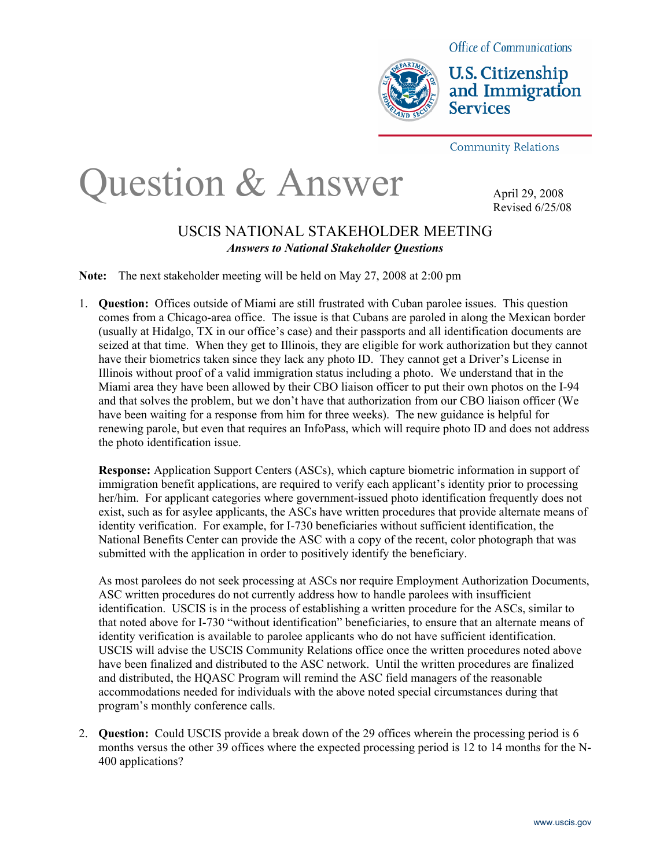

**U.S. Citizenship** and Immigration **Services** 

**Community Relations** 

# Question & Answer

April 29, 2008 Revised 6/25/08

### USCIS NATIONAL STAKEHOLDER MEETING *Answers to National Stakeholder Questions*

**Note:** The next stakeholder meeting will be held on May 27, 2008 at 2:00 pm

1. **Question:** Offices outside of Miami are still frustrated with Cuban parolee issues. This question comes from a Chicago-area office. The issue is that Cubans are paroled in along the Mexican border (usually at Hidalgo, TX in our office's case) and their passports and all identification documents are seized at that time. When they get to Illinois, they are eligible for work authorization but they cannot have their biometrics taken since they lack any photo ID. They cannot get a Driver's License in Illinois without proof of a valid immigration status including a photo. We understand that in the Miami area they have been allowed by their CBO liaison officer to put their own photos on the I-94 and that solves the problem, but we don't have that authorization from our CBO liaison officer (We have been waiting for a response from him for three weeks). The new guidance is helpful for renewing parole, but even that requires an InfoPass, which will require photo ID and does not address the photo identification issue.

**Response:** Application Support Centers (ASCs), which capture biometric information in support of immigration benefit applications, are required to verify each applicant's identity prior to processing her/him. For applicant categories where government-issued photo identification frequently does not exist, such as for asylee applicants, the ASCs have written procedures that provide alternate means of identity verification. For example, for I-730 beneficiaries without sufficient identification, the National Benefits Center can provide the ASC with a copy of the recent, color photograph that was submitted with the application in order to positively identify the beneficiary.

As most parolees do not seek processing at ASCs nor require Employment Authorization Documents, ASC written procedures do not currently address how to handle parolees with insufficient identification. USCIS is in the process of establishing a written procedure for the ASCs, similar to that noted above for I-730 "without identification" beneficiaries, to ensure that an alternate means of identity verification is available to parolee applicants who do not have sufficient identification. USCIS will advise the USCIS Community Relations office once the written procedures noted above have been finalized and distributed to the ASC network. Until the written procedures are finalized and distributed, the HQASC Program will remind the ASC field managers of the reasonable accommodations needed for individuals with the above noted special circumstances during that program's monthly conference calls.

2. **Question:** Could USCIS provide a break down of the 29 offices wherein the processing period is 6 months versus the other 39 offices where the expected processing period is 12 to 14 months for the N-400 applications?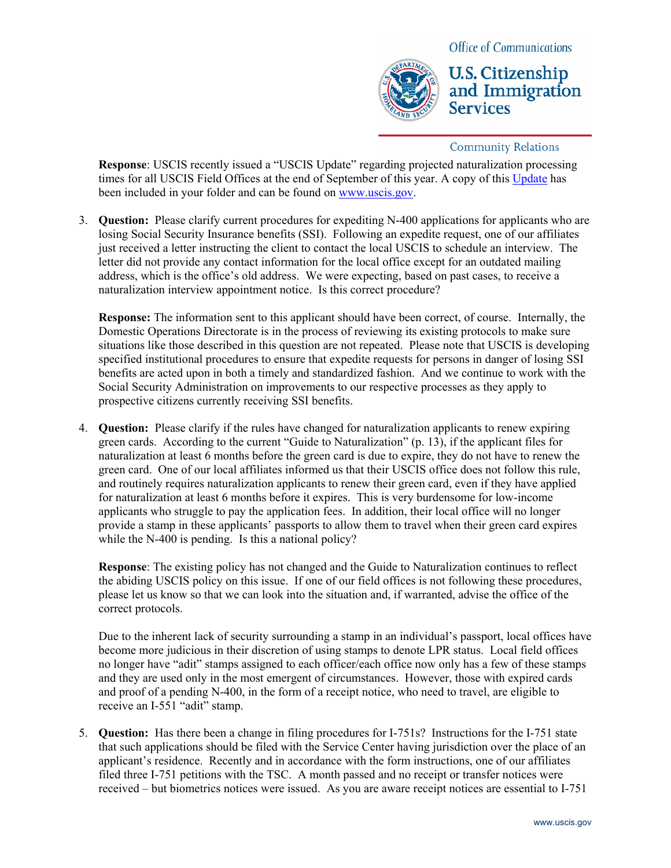

**U.S. Citizenship** and Immigration

**Community Relations** 

**Services** 

**Response**: USCIS recently issued a "USCIS Update" regarding projected naturalization processing times for all USCIS Field Offices at the end of September of this year. A copy of this [Update](http://www.uscis.gov/portal/site/uscis/menuitem.5af9bb95919f35e66f614176543f6d1a/?vgnextoid=2de02ad51e679110VgnVCM1000004718190aRCRD&vgnextchannel=68439c7755cb9010VgnVCM10000045f3d6a1RCRD) has been included in your folder and can be found on [www.uscis.gov](http://www.uscis.gov/).

3. **Question:** Please clarify current procedures for expediting N-400 applications for applicants who are losing Social Security Insurance benefits (SSI). Following an expedite request, one of our affiliates just received a letter instructing the client to contact the local USCIS to schedule an interview. The letter did not provide any contact information for the local office except for an outdated mailing address, which is the office's old address. We were expecting, based on past cases, to receive a naturalization interview appointment notice. Is this correct procedure?

**Response:** The information sent to this applicant should have been correct, of course. Internally, the Domestic Operations Directorate is in the process of reviewing its existing protocols to make sure situations like those described in this question are not repeated. Please note that USCIS is developing specified institutional procedures to ensure that expedite requests for persons in danger of losing SSI benefits are acted upon in both a timely and standardized fashion. And we continue to work with the Social Security Administration on improvements to our respective processes as they apply to prospective citizens currently receiving SSI benefits.

4. **Question:** Please clarify if the rules have changed for naturalization applicants to renew expiring green cards. According to the current "Guide to Naturalization" (p. 13), if the applicant files for naturalization at least 6 months before the green card is due to expire, they do not have to renew the green card. One of our local affiliates informed us that their USCIS office does not follow this rule, and routinely requires naturalization applicants to renew their green card, even if they have applied for naturalization at least 6 months before it expires. This is very burdensome for low-income applicants who struggle to pay the application fees. In addition, their local office will no longer provide a stamp in these applicants' passports to allow them to travel when their green card expires while the N-400 is pending. Is this a national policy?

**Response**: The existing policy has not changed and the Guide to Naturalization continues to reflect the abiding USCIS policy on this issue. If one of our field offices is not following these procedures, please let us know so that we can look into the situation and, if warranted, advise the office of the correct protocols.

Due to the inherent lack of security surrounding a stamp in an individual's passport, local offices have become more judicious in their discretion of using stamps to denote LPR status. Local field offices no longer have "adit" stamps assigned to each officer/each office now only has a few of these stamps and they are used only in the most emergent of circumstances. However, those with expired cards and proof of a pending N-400, in the form of a receipt notice, who need to travel, are eligible to receive an I-551 "adit" stamp.

5. **Question:** Has there been a change in filing procedures for I-751s? Instructions for the I-751 state that such applications should be filed with the Service Center having jurisdiction over the place of an applicant's residence. Recently and in accordance with the form instructions, one of our affiliates filed three I-751 petitions with the TSC. A month passed and no receipt or transfer notices were received – but biometrics notices were issued. As you are aware receipt notices are essential to I-751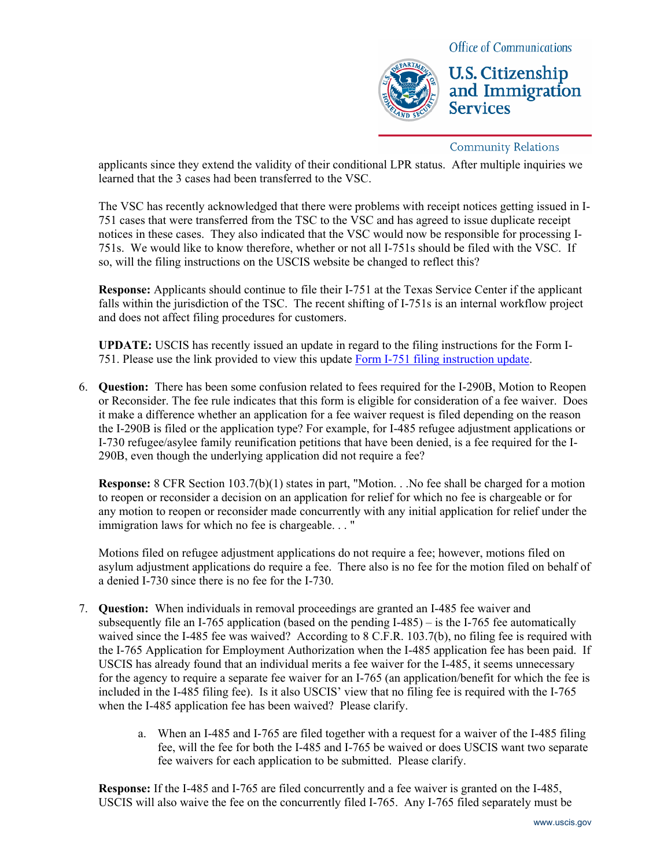

**U.S. Citizenship** and Immigration **Services** 

#### **Community Relations**

applicants since they extend the validity of their conditional LPR status. After multiple inquiries we learned that the 3 cases had been transferred to the VSC.

The VSC has recently acknowledged that there were problems with receipt notices getting issued in I-751 cases that were transferred from the TSC to the VSC and has agreed to issue duplicate receipt notices in these cases. They also indicated that the VSC would now be responsible for processing I-751s. We would like to know therefore, whether or not all I-751s should be filed with the VSC. If so, will the filing instructions on the USCIS website be changed to reflect this?

**Response:** Applicants should continue to file their I-751 at the Texas Service Center if the applicant falls within the jurisdiction of the TSC. The recent shifting of I-751s is an internal workflow project and does not affect filing procedures for customers.

**UPDATE:** USCIS has recently issued an update in regard to the filing instructions for the Form I-751. Please use the link provided to view this update [Form I-751 filing instruction update](http://www.uscis.gov/files/article/I-751_23May08.pdf).

6. **Question:** There has been some confusion related to fees required for the I-290B, Motion to Reopen or Reconsider. The fee rule indicates that this form is eligible for consideration of a fee waiver. Does it make a difference whether an application for a fee waiver request is filed depending on the reason the I-290B is filed or the application type? For example, for I-485 refugee adjustment applications or I-730 refugee/asylee family reunification petitions that have been denied, is a fee required for the I-290B, even though the underlying application did not require a fee?

**Response:** 8 CFR Section 103.7(b)(1) states in part, "Motion. . .No fee shall be charged for a motion to reopen or reconsider a decision on an application for relief for which no fee is chargeable or for any motion to reopen or reconsider made concurrently with any initial application for relief under the immigration laws for which no fee is chargeable. . . "

Motions filed on refugee adjustment applications do not require a fee; however, motions filed on asylum adjustment applications do require a fee. There also is no fee for the motion filed on behalf of a denied I-730 since there is no fee for the I-730.

- 7. **Question:** When individuals in removal proceedings are granted an I-485 fee waiver and subsequently file an I-765 application (based on the pending I-485) – is the I-765 fee automatically waived since the I-485 fee was waived? According to 8 C.F.R. 103.7(b), no filing fee is required with the I-765 Application for Employment Authorization when the I-485 application fee has been paid. If USCIS has already found that an individual merits a fee waiver for the I-485, it seems unnecessary for the agency to require a separate fee waiver for an I-765 (an application/benefit for which the fee is included in the I-485 filing fee). Is it also USCIS' view that no filing fee is required with the I-765 when the I-485 application fee has been waived? Please clarify.
	- a. When an I-485 and I-765 are filed together with a request for a waiver of the I-485 filing fee, will the fee for both the I-485 and I-765 be waived or does USCIS want two separate fee waivers for each application to be submitted. Please clarify.

**Response:** If the I-485 and I-765 are filed concurrently and a fee waiver is granted on the I-485, USCIS will also waive the fee on the concurrently filed I-765. Any I-765 filed separately must be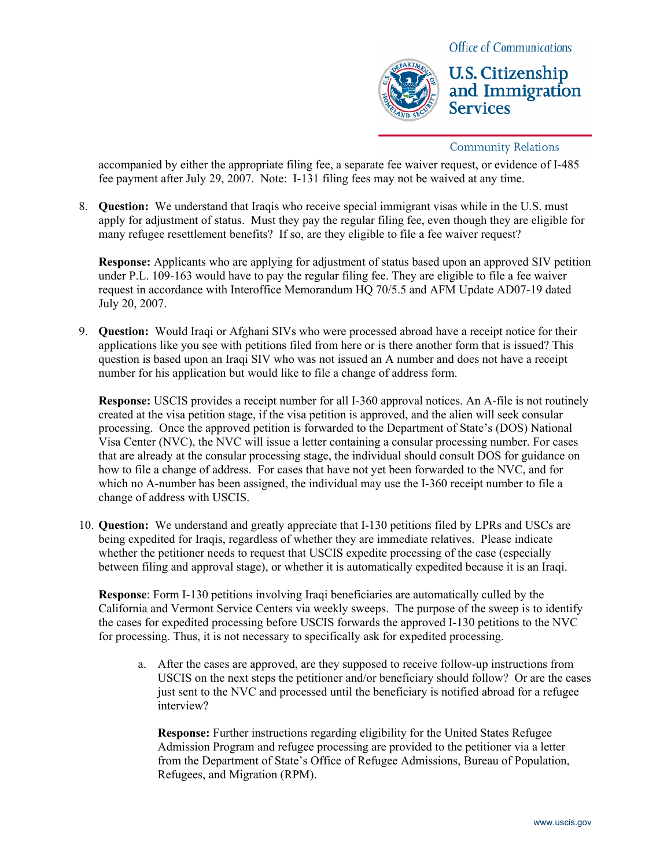

## **U.S. Citizenship** and Immigration **Services**

#### **Community Relations**

accompanied by either the appropriate filing fee, a separate fee waiver request, or evidence of I-485 fee payment after July 29, 2007. Note: I-131 filing fees may not be waived at any time.

8. **Question:** We understand that Iraqis who receive special immigrant visas while in the U.S. must apply for adjustment of status. Must they pay the regular filing fee, even though they are eligible for many refugee resettlement benefits? If so, are they eligible to file a fee waiver request?

**Response:** Applicants who are applying for adjustment of status based upon an approved SIV petition under P.L. 109-163 would have to pay the regular filing fee. They are eligible to file a fee waiver request in accordance with Interoffice Memorandum HQ 70/5.5 and AFM Update AD07-19 dated July 20, 2007.

9. **Question:** Would Iraqi or Afghani SIVs who were processed abroad have a receipt notice for their applications like you see with petitions filed from here or is there another form that is issued? This question is based upon an Iraqi SIV who was not issued an A number and does not have a receipt number for his application but would like to file a change of address form.

**Response:** USCIS provides a receipt number for all I-360 approval notices. An A-file is not routinely created at the visa petition stage, if the visa petition is approved, and the alien will seek consular processing. Once the approved petition is forwarded to the Department of State's (DOS) National Visa Center (NVC), the NVC will issue a letter containing a consular processing number. For cases that are already at the consular processing stage, the individual should consult DOS for guidance on how to file a change of address. For cases that have not yet been forwarded to the NVC, and for which no A-number has been assigned, the individual may use the I-360 receipt number to file a change of address with USCIS.

10. **Question:** We understand and greatly appreciate that I-130 petitions filed by LPRs and USCs are being expedited for Iraqis, regardless of whether they are immediate relatives. Please indicate whether the petitioner needs to request that USCIS expedite processing of the case (especially between filing and approval stage), or whether it is automatically expedited because it is an Iraqi.

**Response**: Form I-130 petitions involving Iraqi beneficiaries are automatically culled by the California and Vermont Service Centers via weekly sweeps. The purpose of the sweep is to identify the cases for expedited processing before USCIS forwards the approved I-130 petitions to the NVC for processing. Thus, it is not necessary to specifically ask for expedited processing.

a. After the cases are approved, are they supposed to receive follow-up instructions from USCIS on the next steps the petitioner and/or beneficiary should follow? Or are the cases just sent to the NVC and processed until the beneficiary is notified abroad for a refugee interview?

**Response:** Further instructions regarding eligibility for the United States Refugee Admission Program and refugee processing are provided to the petitioner via a letter from the Department of State's Office of Refugee Admissions, Bureau of Population, Refugees, and Migration (RPM).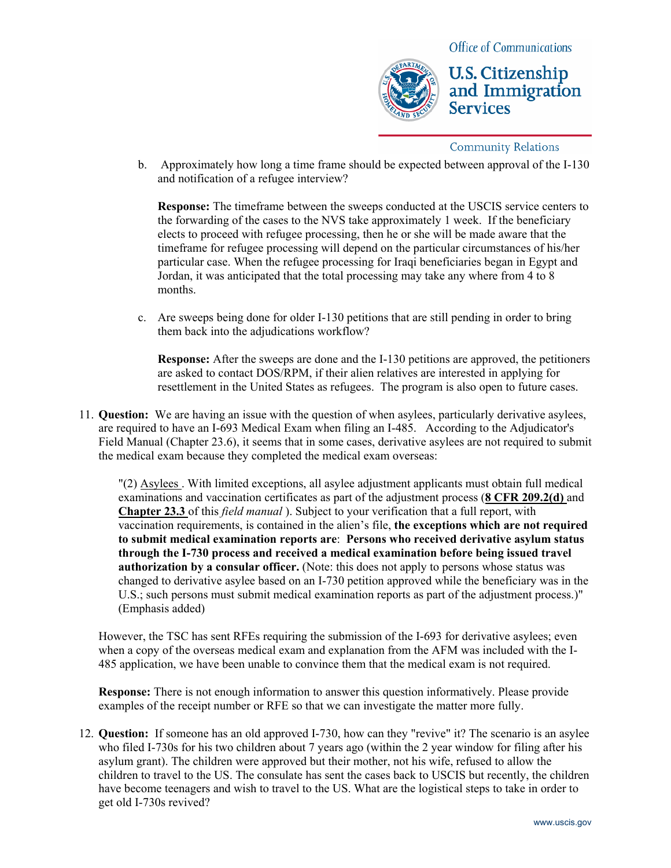

**U.S. Citizenship** and Immigration **Services** 

#### **Community Relations**

b. Approximately how long a time frame should be expected between approval of the I-130 and notification of a refugee interview?

**Response:** The timeframe between the sweeps conducted at the USCIS service centers to the forwarding of the cases to the NVS take approximately 1 week. If the beneficiary elects to proceed with refugee processing, then he or she will be made aware that the timeframe for refugee processing will depend on the particular circumstances of his/her particular case. When the refugee processing for Iraqi beneficiaries began in Egypt and Jordan, it was anticipated that the total processing may take any where from 4 to 8 months.

c. Are sweeps being done for older I-130 petitions that are still pending in order to bring them back into the adjudications workflow?

**Response:** After the sweeps are done and the I-130 petitions are approved, the petitioners are asked to contact DOS/RPM, if their alien relatives are interested in applying for resettlement in the United States as refugees. The program is also open to future cases.

11. **Question:** We are having an issue with the question of when asylees, particularly derivative asylees, are required to have an I-693 Medical Exam when filing an I-485. According to the Adjudicator's Field Manual (Chapter 23.6), it seems that in some cases, derivative asylees are not required to submit the medical exam because they completed the medical exam overseas:

"(2) Asylees . With limited exceptions, all asylee adjustment applicants must obtain full medical examinations and vaccination certificates as part of the adjustment process (**8 CFR 209.2(d)** and **Chapter 23.3** of this *field manual* ). Subject to your verification that a full report, with vaccination requirements, is contained in the alien's file, **the exceptions which are not required to submit medical examination reports are**: **Persons who received derivative asylum status through the I-730 process and received a medical examination before being issued travel authorization by a consular officer.** (Note: this does not apply to persons whose status was changed to derivative asylee based on an I-730 petition approved while the beneficiary was in the U.S.; such persons must submit medical examination reports as part of the adjustment process.)" (Emphasis added)

However, the TSC has sent RFEs requiring the submission of the I-693 for derivative asylees; even when a copy of the overseas medical exam and explanation from the AFM was included with the I-485 application, we have been unable to convince them that the medical exam is not required.

**Response:** There is not enough information to answer this question informatively. Please provide examples of the receipt number or RFE so that we can investigate the matter more fully.

12. **Question:** If someone has an old approved I-730, how can they "revive" it? The scenario is an asylee who filed I-730s for his two children about 7 years ago (within the 2 year window for filing after his asylum grant). The children were approved but their mother, not his wife, refused to allow the children to travel to the US. The consulate has sent the cases back to USCIS but recently, the children have become teenagers and wish to travel to the US. What are the logistical steps to take in order to get old I-730s revived?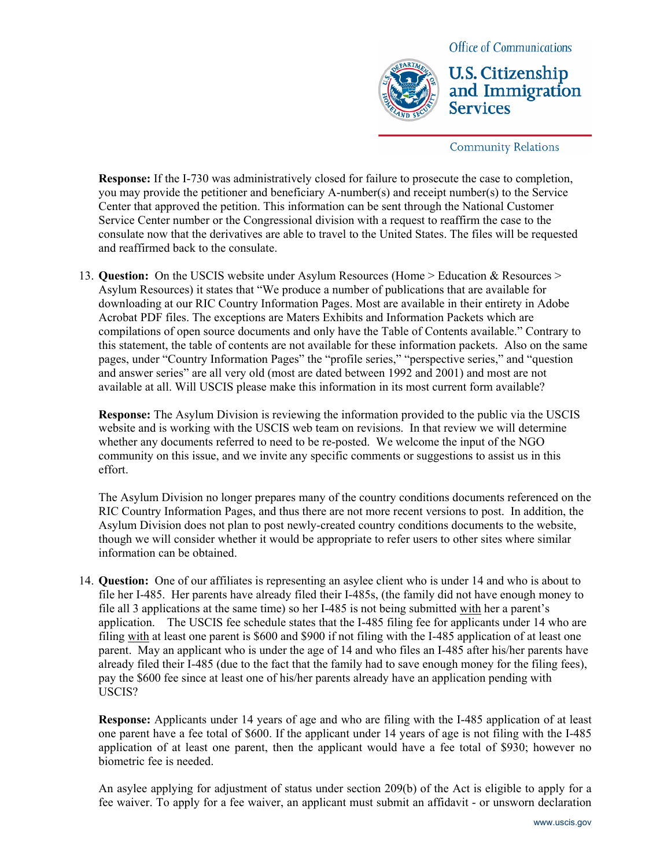

**U.S. Citizenship** and Immigration **Services** 

**Community Relations** 

**Response:** If the I-730 was administratively closed for failure to prosecute the case to completion, you may provide the petitioner and beneficiary A-number(s) and receipt number(s) to the Service Center that approved the petition. This information can be sent through the National Customer Service Center number or the Congressional division with a request to reaffirm the case to the consulate now that the derivatives are able to travel to the United States. The files will be requested and reaffirmed back to the consulate.

13. **Question:** On the USCIS website under Asylum Resources (Home > Education & Resources > Asylum Resources) it states that "We produce a number of publications that are available for downloading at our RIC Country Information Pages. Most are available in their entirety in Adobe Acrobat PDF files. The exceptions are Maters Exhibits and Information Packets which are compilations of open source documents and only have the Table of Contents available." Contrary to this statement, the table of contents are not available for these information packets. Also on the same pages, under "Country Information Pages" the "profile series," "perspective series," and "question and answer series" are all very old (most are dated between 1992 and 2001) and most are not available at all. Will USCIS please make this information in its most current form available?

**Response:** The Asylum Division is reviewing the information provided to the public via the USCIS website and is working with the USCIS web team on revisions. In that review we will determine whether any documents referred to need to be re-posted. We welcome the input of the NGO community on this issue, and we invite any specific comments or suggestions to assist us in this effort.

The Asylum Division no longer prepares many of the country conditions documents referenced on the RIC Country Information Pages, and thus there are not more recent versions to post. In addition, the Asylum Division does not plan to post newly-created country conditions documents to the website, though we will consider whether it would be appropriate to refer users to other sites where similar information can be obtained.

14. **Question:** One of our affiliates is representing an asylee client who is under 14 and who is about to file her I-485. Her parents have already filed their I-485s, (the family did not have enough money to file all 3 applications at the same time) so her I-485 is not being submitted with her a parent's application. The USCIS fee schedule states that the I-485 filing fee for applicants under 14 who are filing with at least one parent is \$600 and \$900 if not filing with the I-485 application of at least one parent. May an applicant who is under the age of 14 and who files an I-485 after his/her parents have already filed their I-485 (due to the fact that the family had to save enough money for the filing fees), pay the \$600 fee since at least one of his/her parents already have an application pending with USCIS?

**Response:** Applicants under 14 years of age and who are filing with the I-485 application of at least one parent have a fee total of \$600. If the applicant under 14 years of age is not filing with the I-485 application of at least one parent, then the applicant would have a fee total of \$930; however no biometric fee is needed.

An asylee applying for adjustment of status under section 209(b) of the Act is eligible to apply for a fee waiver. To apply for a fee waiver, an applicant must submit an affidavit - or unsworn declaration